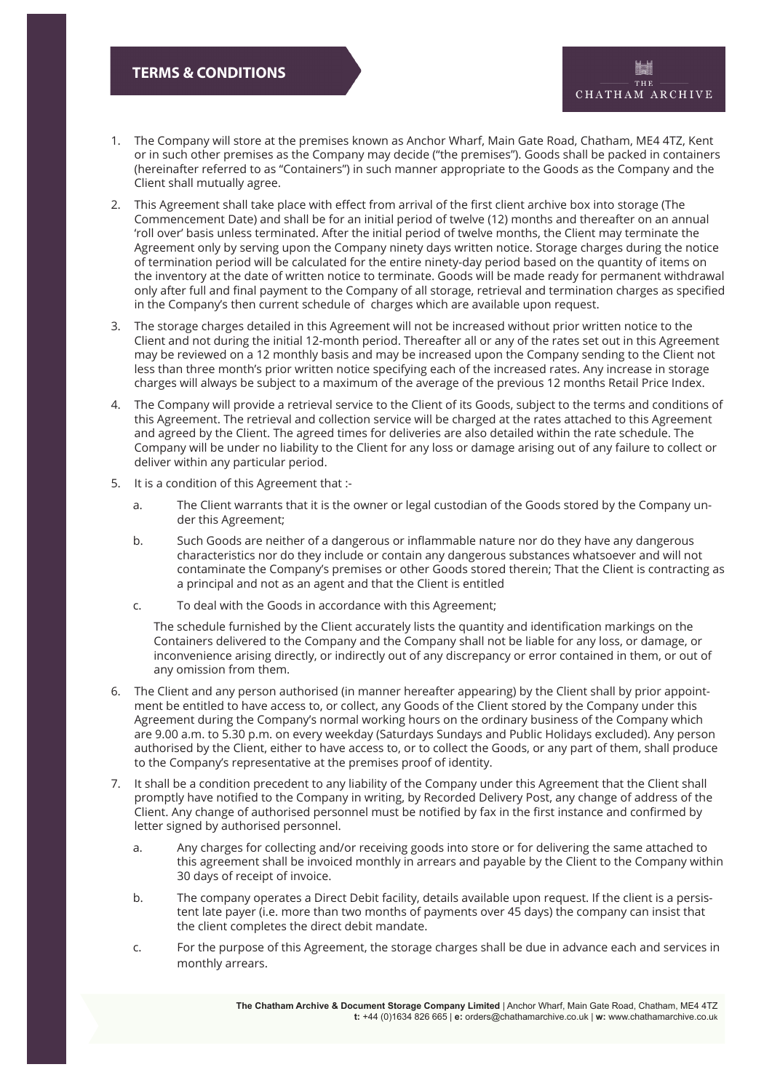- 1. The Company will store at the premises known as Anchor Wharf, Main Gate Road, Chatham, ME4 4TZ, Kent or in such other premises as the Company may decide ("the premises"). Goods shall be packed in containers (hereinafter referred to as "Containers") in such manner appropriate to the Goods as the Company and the Client shall mutually agree.
- 2. This Agreement shall take place with effect from arrival of the first client archive box into storage (The Commencement Date) and shall be for an initial period of twelve (12) months and thereafter on an annual 'roll over' basis unless terminated. After the initial period of twelve months, the Client may terminate the Agreement only by serving upon the Company ninety days written notice. Storage charges during the notice of termination period will be calculated for the entire ninety-day period based on the quantity of items on the inventory at the date of written notice to terminate. Goods will be made ready for permanent withdrawal only after full and final payment to the Company of all storage, retrieval and termination charges as specified in the Company's then current schedule of charges which are available upon request.
- 3. The storage charges detailed in this Agreement will not be increased without prior written notice to the Client and not during the initial 12-month period. Thereafter all or any of the rates set out in this Agreement may be reviewed on a 12 monthly basis and may be increased upon the Company sending to the Client not less than three month's prior written notice specifying each of the increased rates. Any increase in storage charges will always be subject to a maximum of the average of the previous 12 months Retail Price Index.
- 4. The Company will provide a retrieval service to the Client of its Goods, subject to the terms and conditions of this Agreement. The retrieval and collection service will be charged at the rates attached to this Agreement and agreed by the Client. The agreed times for deliveries are also detailed within the rate schedule. The Company will be under no liability to the Client for any loss or damage arising out of any failure to collect or deliver within any particular period.
- 5. It is a condition of this Agreement that :
	- a. The Client warrants that it is the owner or legal custodian of the Goods stored by the Company under this Agreement;
	- b. Such Goods are neither of a dangerous or inflammable nature nor do they have any dangerous characteristics nor do they include or contain any dangerous substances whatsoever and will not contaminate the Company's premises or other Goods stored therein; That the Client is contracting as a principal and not as an agent and that the Client is entitled
	- c. To deal with the Goods in accordance with this Agreement;

The schedule furnished by the Client accurately lists the quantity and identification markings on the Containers delivered to the Company and the Company shall not be liable for any loss, or damage, or inconvenience arising directly, or indirectly out of any discrepancy or error contained in them, or out of any omission from them.

- 6. The Client and any person authorised (in manner hereafter appearing) by the Client shall by prior appointment be entitled to have access to, or collect, any Goods of the Client stored by the Company under this Agreement during the Company's normal working hours on the ordinary business of the Company which are 9.00 a.m. to 5.30 p.m. on every weekday (Saturdays Sundays and Public Holidays excluded). Any person authorised by the Client, either to have access to, or to collect the Goods, or any part of them, shall produce to the Company's representative at the premises proof of identity.
- 7. It shall be a condition precedent to any liability of the Company under this Agreement that the Client shall promptly have notified to the Company in writing, by Recorded Delivery Post, any change of address of the Client. Any change of authorised personnel must be notified by fax in the first instance and confirmed by letter signed by authorised personnel.
	- a. Any charges for collecting and/or receiving goods into store or for delivering the same attached to this agreement shall be invoiced monthly in arrears and payable by the Client to the Company within 30 days of receipt of invoice.
	- b. The company operates a Direct Debit facility, details available upon request. If the client is a persistent late payer (i.e. more than two months of payments over 45 days) the company can insist that the client completes the direct debit mandate.
	- c. For the purpose of this Agreement, the storage charges shall be due in advance each and services in monthly arrears.

**The Chatham Archive & Document Storage Company Limited** | Anchor Wharf, Main Gate Road, Chatham, ME4 4TZ **t:** +44 (0)1634 826 665 | **e:** orders@chathamarchive.co.uk | **w:** www.chathamarchive.co.uk